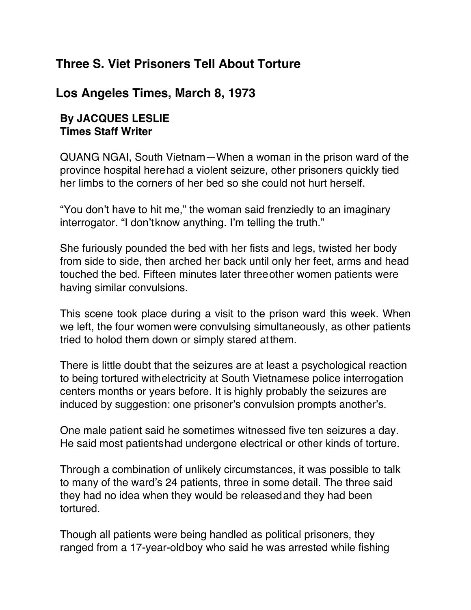## **Three S. Viet Prisoners Tell About Torture**

## **Los Angeles Times, March 8, 1973**

## **By JACQUES LESLIE Times Staff Writer**

QUANG NGAI, South Vietnam—When a woman in the prison ward of the province hospital herehad a violent seizure, other prisoners quickly tied her limbs to the corners of her bed so she could not hurt herself.

"You don't have to hit me," the woman said frenziedly to an imaginary interrogator. "I don'tknow anything. I'm telling the truth."

She furiously pounded the bed with her fists and legs, twisted her body from side to side, then arched her back until only her feet, arms and head touched the bed. Fifteen minutes later threeother women patients were having similar convulsions.

This scene took place during a visit to the prison ward this week. When we left, the four women were convulsing simultaneously, as other patients tried to holod them down or simply stared atthem.

There is little doubt that the seizures are at least a psychological reaction to being tortured withelectricity at South Vietnamese police interrogation centers months or years before. It is highly probably the seizures are induced by suggestion: one prisoner's convulsion prompts another's.

One male patient said he sometimes witnessed five ten seizures a day. He said most patientshad undergone electrical or other kinds of torture.

Through a combination of unlikely circumstances, it was possible to talk to many of the ward's 24 patients, three in some detail. The three said they had no idea when they would be releasedand they had been tortured.

Though all patients were being handled as political prisoners, they ranged from a 17-year-oldboy who said he was arrested while fishing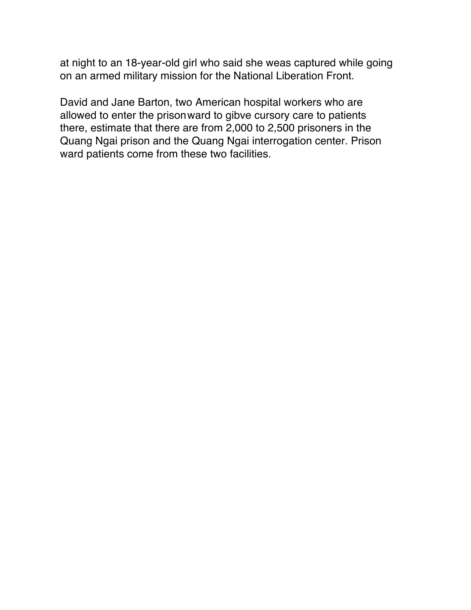at night to an 18-year-old girl who said she weas captured while going on an armed military mission for the National Liberation Front.

David and Jane Barton, two American hospital workers who are allowed to enter the prisonward to gibve cursory care to patients there, estimate that there are from 2,000 to 2,500 prisoners in the Quang Ngai prison and the Quang Ngai interrogation center. Prison ward patients come from these two facilities.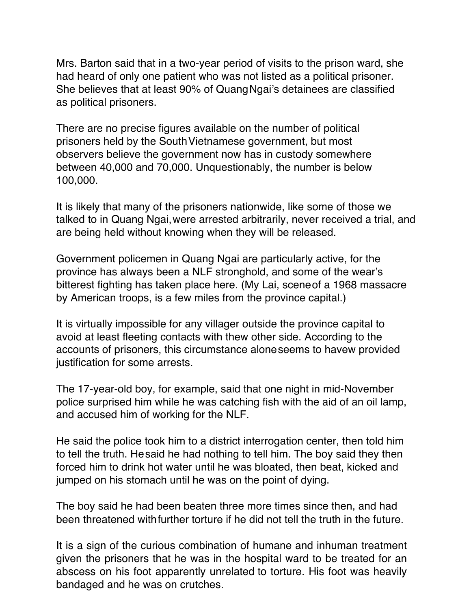Mrs. Barton said that in a two-year period of visits to the prison ward, she had heard of only one patient who was not listed as a political prisoner. She believes that at least 90% of QuangNgai's detainees are classified as political prisoners.

There are no precise figures available on the number of political prisoners held by the SouthVietnamese government, but most observers believe the government now has in custody somewhere between 40,000 and 70,000. Unquestionably, the number is below 100,000.

It is likely that many of the prisoners nationwide, like some of those we talked to in Quang Ngai,were arrested arbitrarily, never received a trial, and are being held without knowing when they will be released.

Government policemen in Quang Ngai are particularly active, for the province has always been a NLF stronghold, and some of the wear's bitterest fighting has taken place here. (My Lai, sceneof a 1968 massacre by American troops, is a few miles from the province capital.)

It is virtually impossible for any villager outside the province capital to avoid at least fleeting contacts with thew other side. According to the accounts of prisoners, this circumstance aloneseems to havew provided justification for some arrests.

The 17-year-old boy, for example, said that one night in mid-November police surprised him while he was catching fish with the aid of an oil lamp, and accused him of working for the NLF.

He said the police took him to a district interrogation center, then told him to tell the truth. Hesaid he had nothing to tell him. The boy said they then forced him to drink hot water until he was bloated, then beat, kicked and jumped on his stomach until he was on the point of dying.

The boy said he had been beaten three more times since then, and had been threatened withfurther torture if he did not tell the truth in the future.

It is a sign of the curious combination of humane and inhuman treatment given the prisoners that he was in the hospital ward to be treated for an abscess on his foot apparently unrelated to torture. His foot was heavily bandaged and he was on crutches.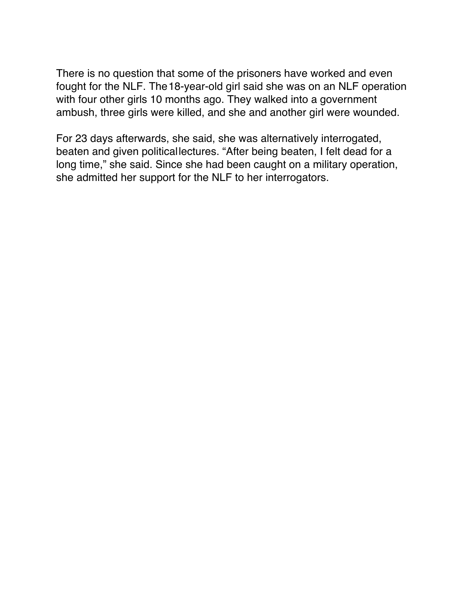There is no question that some of the prisoners have worked and even fought for the NLF. The18-year-old girl said she was on an NLF operation with four other girls 10 months ago. They walked into a government ambush, three girls were killed, and she and another girl were wounded.

For 23 days afterwards, she said, she was alternatively interrogated, beaten and given politicallectures. "After being beaten, I felt dead for a long time," she said. Since she had been caught on a military operation, she admitted her support for the NLF to her interrogators.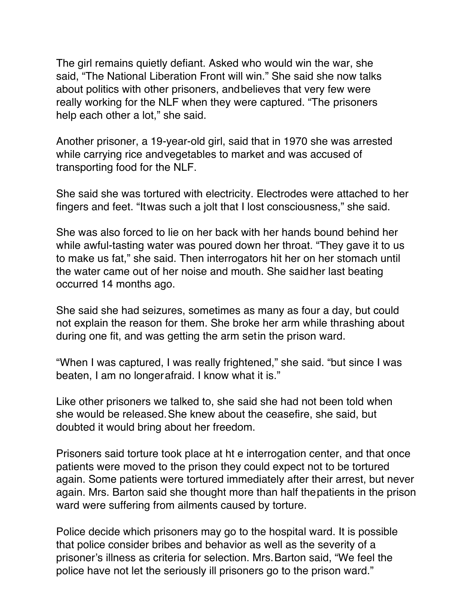The girl remains quietly defiant. Asked who would win the war, she said, "The National Liberation Front will win." She said she now talks about politics with other prisoners, andbelieves that very few were really working for the NLF when they were captured. "The prisoners help each other a lot," she said.

Another prisoner, a 19-year-old girl, said that in 1970 she was arrested while carrying rice andvegetables to market and was accused of transporting food for the NLF.

She said she was tortured with electricity. Electrodes were attached to her fingers and feet. "Itwas such a jolt that I lost consciousness," she said.

She was also forced to lie on her back with her hands bound behind her while awful-tasting water was poured down her throat. "They gave it to us to make us fat," she said. Then interrogators hit her on her stomach until the water came out of her noise and mouth. She saidher last beating occurred 14 months ago.

She said she had seizures, sometimes as many as four a day, but could not explain the reason for them. She broke her arm while thrashing about during one fit, and was getting the arm setin the prison ward.

"When I was captured, I was really frightened," she said. "but since I was beaten, I am no longerafraid. I know what it is."

Like other prisoners we talked to, she said she had not been told when she would be released.She knew about the ceasefire, she said, but doubted it would bring about her freedom.

Prisoners said torture took place at ht e interrogation center, and that once patients were moved to the prison they could expect not to be tortured again. Some patients were tortured immediately after their arrest, but never again. Mrs. Barton said she thought more than half thepatients in the prison ward were suffering from ailments caused by torture.

Police decide which prisoners may go to the hospital ward. It is possible that police consider bribes and behavior as well as the severity of a prisoner's illness as criteria for selection. Mrs.Barton said, "We feel the police have not let the seriously ill prisoners go to the prison ward."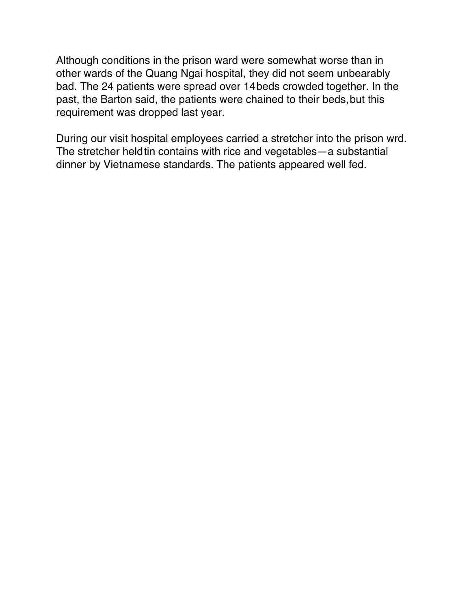Although conditions in the prison ward were somewhat worse than in other wards of the Quang Ngai hospital, they did not seem unbearably bad. The 24 patients were spread over 14beds crowded together. In the past, the Barton said, the patients were chained to their beds, but this requirement was dropped last year.

During our visit hospital employees carried a stretcher into the prison wrd. The stretcher heldtin contains with rice and vegetables—a substantial dinner by Vietnamese standards. The patients appeared well fed.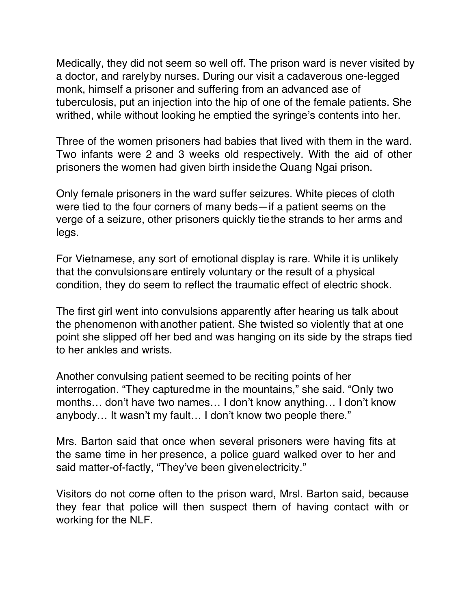Medically, they did not seem so well off. The prison ward is never visited by a doctor, and rarelyby nurses. During our visit a cadaverous one-legged monk, himself a prisoner and suffering from an advanced ase of tuberculosis, put an injection into the hip of one of the female patients. She writhed, while without looking he emptied the syringe's contents into her.

Three of the women prisoners had babies that lived with them in the ward. Two infants were 2 and 3 weeks old respectively. With the aid of other prisoners the women had given birth insidethe Quang Ngai prison.

Only female prisoners in the ward suffer seizures. White pieces of cloth were tied to the four corners of many beds—if a patient seems on the verge of a seizure, other prisoners quickly tiethe strands to her arms and legs.

For Vietnamese, any sort of emotional display is rare. While it is unlikely that the convulsionsare entirely voluntary or the result of a physical condition, they do seem to reflect the traumatic effect of electric shock.

The first girl went into convulsions apparently after hearing us talk about the phenomenon withanother patient. She twisted so violently that at one point she slipped off her bed and was hanging on its side by the straps tied to her ankles and wrists.

Another convulsing patient seemed to be reciting points of her interrogation. "They capturedme in the mountains," she said. "Only two months… don't have two names… I don't know anything… I don't know anybody… It wasn't my fault… I don't know two people there."

Mrs. Barton said that once when several prisoners were having fits at the same time in her presence, a police guard walked over to her and said matter-of-factly, "They've been givenelectricity."

Visitors do not come often to the prison ward, Mrsl. Barton said, because they fear that police will then suspect them of having contact with or working for the NLF.